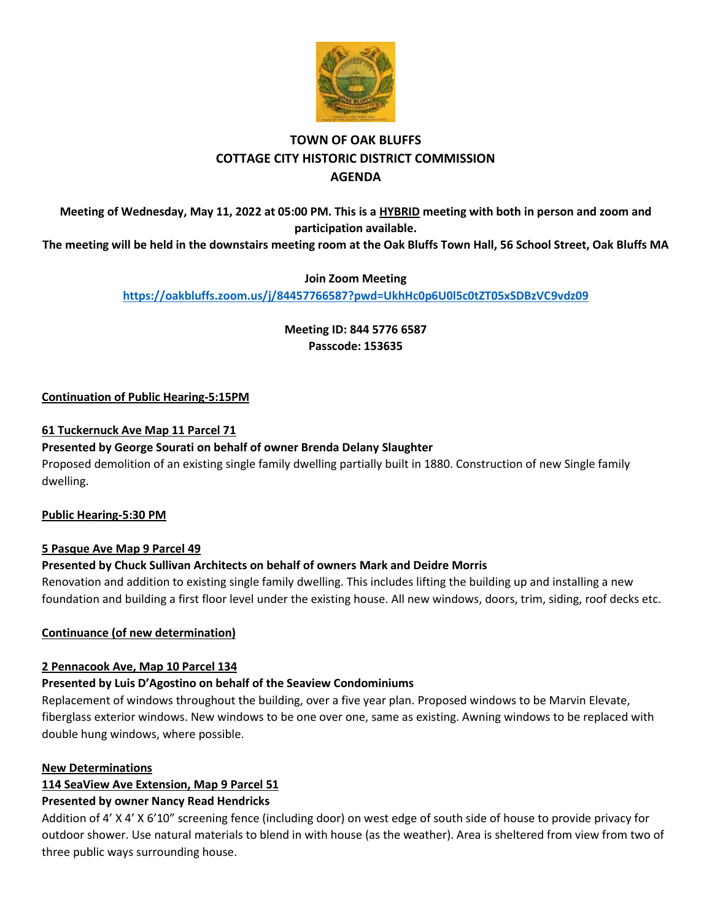

# **TOWN OF OAK BLUFFS COTTAGE CITY HISTORIC DISTRICT COMMISSION AGENDA**

**Meeting of Wednesday, May 11, 2022 at 05:00 PM. This is a HYBRID meeting with both in person and zoom and participation available.**

**The meeting will be held in the downstairs meeting room at the Oak Bluffs Town Hall, 56 School Street, Oak Bluffs MA**

# **Join Zoom Meeting**

**<https://oakbluffs.zoom.us/j/84457766587?pwd=UkhHc0p6U0l5c0tZT05xSDBzVC9vdz09>**

**Meeting ID: 844 5776 6587 Passcode: 153635**

# **Continuation of Public Hearing-5:15PM**

# **61 Tuckernuck Ave Map 11 Parcel 71**

# **Presented by George Sourati on behalf of owner Brenda Delany Slaughter**

Proposed demolition of an existing single family dwelling partially built in 1880. Construction of new Single family dwelling.

# **Public Hearing-5:30 PM**

# **5 Pasque Ave Map 9 Parcel 49**

# **Presented by Chuck Sullivan Architects on behalf of owners Mark and Deidre Morris**

Renovation and addition to existing single family dwelling. This includes lifting the building up and installing a new foundation and building a first floor level under the existing house. All new windows, doors, trim, siding, roof decks etc.

# **Continuance (of new determination)**

# **2 Pennacook Ave, Map 10 Parcel 134**

# **Presented by Luis D'Agostino on behalf of the Seaview Condominiums**

Replacement of windows throughout the building, over a five year plan. Proposed windows to be Marvin Elevate, fiberglass exterior windows. New windows to be one over one, same as existing. Awning windows to be replaced with double hung windows, where possible.

# **New Determinations**

# **114 SeaView Ave Extension, Map 9 Parcel 51**

# **Presented by owner Nancy Read Hendricks**

Addition of 4' X 4' X 6'10" screening fence (including door) on west edge of south side of house to provide privacy for outdoor shower. Use natural materials to blend in with house (as the weather). Area is sheltered from view from two of three public ways surrounding house.